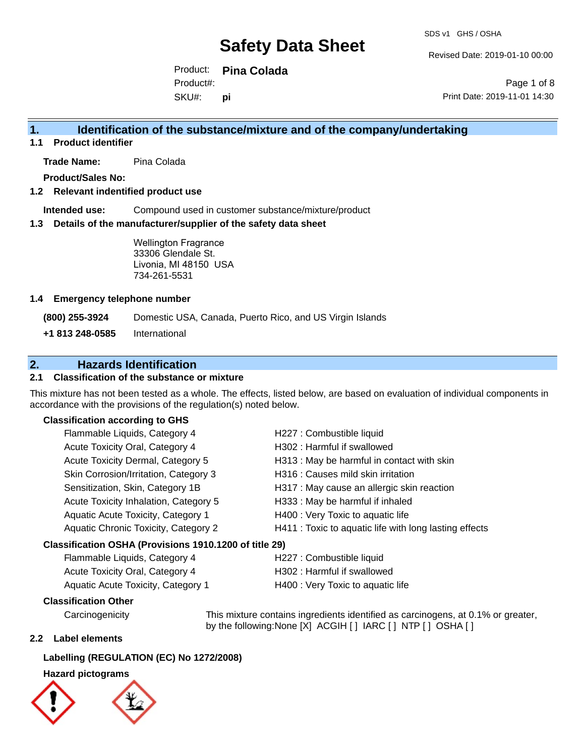Revised Date: 2019-01-10 00:00

Product: **Pina Colada** SKU#: Product#: **pi**

Page 1 of 8 Print Date: 2019-11-01 14:30

### **1. Identification of the substance/mixture and of the company/undertaking**

**1.1 Product identifier**

**Trade Name:** Pina Colada

**Product/Sales No:**

### **1.2 Relevant indentified product use**

**Intended use:** Compound used in customer substance/mixture/product

### **1.3 Details of the manufacturer/supplier of the safety data sheet**

Wellington Fragrance 33306 Glendale St. Livonia, MI 48150 USA 734-261-5531

### **1.4 Emergency telephone number**

**(800) 255-3924** Domestic USA, Canada, Puerto Rico, and US Virgin Islands

**+1 813 248-0585** International

### **2. Hazards Identification**

### **2.1 Classification of the substance or mixture**

This mixture has not been tested as a whole. The effects, listed below, are based on evaluation of individual components in accordance with the provisions of the regulation(s) noted below.

### **Classification according to GHS**

| Classification OSHA (Provisions 1910.1200 of title 29) |                                       |                                                        |
|--------------------------------------------------------|---------------------------------------|--------------------------------------------------------|
|                                                        | Aquatic Chronic Toxicity, Category 2  | H411 : Toxic to aquatic life with long lasting effects |
|                                                        | Aquatic Acute Toxicity, Category 1    | H400 : Very Toxic to aquatic life                      |
|                                                        | Acute Toxicity Inhalation, Category 5 | H333: May be harmful if inhaled                        |
|                                                        | Sensitization, Skin, Category 1B      | H317 : May cause an allergic skin reaction             |
|                                                        | Skin Corrosion/Irritation, Category 3 | H316 : Causes mild skin irritation                     |
|                                                        | Acute Toxicity Dermal, Category 5     | H313 : May be harmful in contact with skin             |
|                                                        | Acute Toxicity Oral, Category 4       | H302: Harmful if swallowed                             |
|                                                        | Flammable Liquids, Category 4         | H227 : Combustible liquid                              |

| Flammable Liquids, Category 4          | H227 : Combustible liquid         |
|----------------------------------------|-----------------------------------|
| <b>Acute Toxicity Oral, Category 4</b> | H302 : Harmful if swallowed       |
| Aquatic Acute Toxicity, Category 1     | H400 : Very Toxic to aquatic life |

### **Classification Other**

by the following:None [X] ACGIH [] IARC [] NTP [] OSHA []

### **2.2 Label elements**

### **Labelling (REGULATION (EC) No 1272/2008)**

### **Hazard pictograms**



Carcinogenicity This mixture contains ingredients identified as carcinogens, at 0.1% or greater,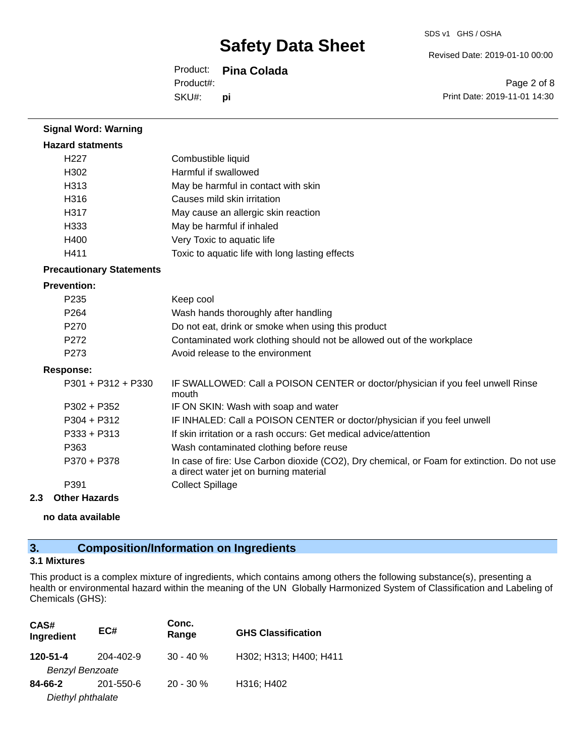Revised Date: 2019-01-10 00:00

Product: **Pina Colada** SKU#: Product#: **pi**

Page 2 of 8 Print Date: 2019-11-01 14:30

| <b>Signal Word: Warning</b>     |                                                                                                                                       |
|---------------------------------|---------------------------------------------------------------------------------------------------------------------------------------|
| <b>Hazard statments</b>         |                                                                                                                                       |
| H227                            | Combustible liquid                                                                                                                    |
| H302                            | Harmful if swallowed                                                                                                                  |
| H313                            | May be harmful in contact with skin                                                                                                   |
| H316                            | Causes mild skin irritation                                                                                                           |
| H317                            | May cause an allergic skin reaction                                                                                                   |
| H333                            | May be harmful if inhaled                                                                                                             |
| H400                            | Very Toxic to aquatic life                                                                                                            |
| H411                            | Toxic to aquatic life with long lasting effects                                                                                       |
| <b>Precautionary Statements</b> |                                                                                                                                       |
| <b>Prevention:</b>              |                                                                                                                                       |
| P235                            | Keep cool                                                                                                                             |
| P <sub>264</sub>                | Wash hands thoroughly after handling                                                                                                  |
| P270                            | Do not eat, drink or smoke when using this product                                                                                    |
| P272                            | Contaminated work clothing should not be allowed out of the workplace                                                                 |
| P273                            | Avoid release to the environment                                                                                                      |
| <b>Response:</b>                |                                                                                                                                       |
| $P301 + P312 + P330$            | IF SWALLOWED: Call a POISON CENTER or doctor/physician if you feel unwell Rinse<br>mouth                                              |
| $P302 + P352$                   | IF ON SKIN: Wash with soap and water                                                                                                  |
| P304 + P312                     | IF INHALED: Call a POISON CENTER or doctor/physician if you feel unwell                                                               |
| P333 + P313                     | If skin irritation or a rash occurs: Get medical advice/attention                                                                     |
| P363                            | Wash contaminated clothing before reuse                                                                                               |
| P370 + P378                     | In case of fire: Use Carbon dioxide (CO2), Dry chemical, or Foam for extinction. Do not use<br>a direct water jet on burning material |
| P391                            | <b>Collect Spillage</b>                                                                                                               |
| <b>Other Hazards</b><br>2.3     |                                                                                                                                       |
|                                 |                                                                                                                                       |

**no data available**

# **3. Composition/Information on Ingredients**

### **3.1 Mixtures**

This product is a complex mixture of ingredients, which contains among others the following substance(s), presenting a health or environmental hazard within the meaning of the UN Globally Harmonized System of Classification and Labeling of Chemicals (GHS):

| CAS#<br>Ingredient     | EC#       | Conc.<br>Range | <b>GHS Classification</b> |
|------------------------|-----------|----------------|---------------------------|
| 120-51-4               | 204-402-9 | $30 - 40 \%$   | H302; H313; H400; H411    |
| <b>Benzyl Benzoate</b> |           |                |                           |
| 84-66-2                | 201-550-6 | $20 - 30 \%$   | H316; H402                |
| Diethyl phthalate      |           |                |                           |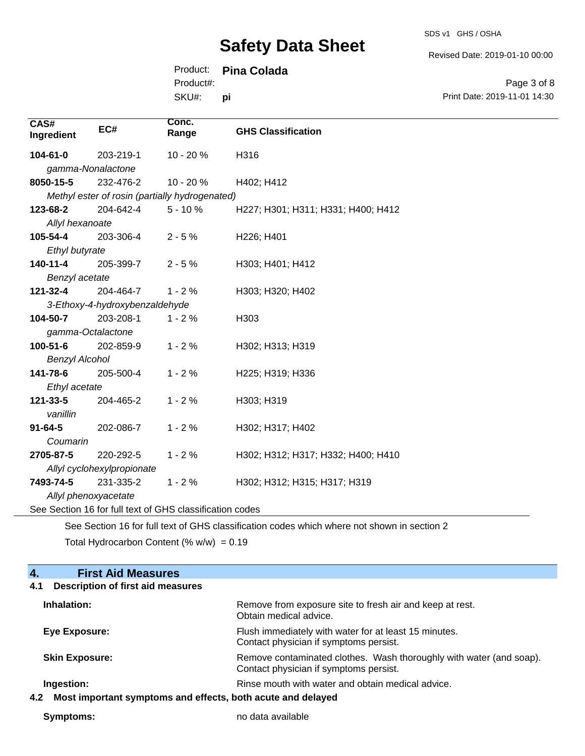SDS v1 GHS / OSHA

Revised Date: 2019-01-10 00:00

### Product: **Pina Colada**

SKU#: Product#: **pi**

Page 3 of 8 Print Date: 2019-11-01 14:30

| CAS#<br>Ingredient                                       | EC#                                            | Conc.<br>Range                                                                 | <b>GHS Classification</b>                                     |
|----------------------------------------------------------|------------------------------------------------|--------------------------------------------------------------------------------|---------------------------------------------------------------|
| 104-61-0                                                 | 203-219-1                                      | 10 - 20 %                                                                      | H316                                                          |
| gamma-Nonalactone                                        |                                                |                                                                                |                                                               |
| 8050-15-5                                                | 232-476-2                                      | 10 - 20 %                                                                      | H402; H412                                                    |
|                                                          | Methyl ester of rosin (partially hydrogenated) |                                                                                |                                                               |
| 123-68-2                                                 | 204-642-4                                      | $5 - 10%$                                                                      | H227; H301; H311; H331; H400; H412                            |
| Allyl hexanoate                                          |                                                |                                                                                |                                                               |
| 105-54-4                                                 | 203-306-4                                      | $2 - 5%$                                                                       | H226; H401                                                    |
| Ethyl butyrate                                           |                                                |                                                                                |                                                               |
| $140 - 11 - 4$                                           | 205-399-7                                      | $2 - 5%$                                                                       | H303; H401; H412                                              |
| Benzyl acetate                                           |                                                |                                                                                |                                                               |
| 121-32-4                                                 | 204-464-7                                      | $1 - 2%$                                                                       | H303; H320; H402                                              |
| 3-Ethoxy-4-hydroxybenzaldehyde                           |                                                |                                                                                |                                                               |
| 104-50-7                                                 | 203-208-1                                      | $1 - 2%$                                                                       | H303                                                          |
| gamma-Octalactone                                        |                                                |                                                                                |                                                               |
| $100 - 51 - 6$                                           | 202-859-9                                      | $1 - 2%$                                                                       | H302; H313; H319                                              |
| <b>Benzyl Alcohol</b>                                    |                                                |                                                                                |                                                               |
| 141-78-6                                                 | 205-500-4                                      | $1 - 2%$                                                                       | H225; H319; H336                                              |
| Ethyl acetate                                            |                                                |                                                                                |                                                               |
| 121-33-5                                                 | 204-465-2                                      | $1 - 2%$                                                                       | H303; H319                                                    |
| vanillin                                                 |                                                |                                                                                |                                                               |
| $91 - 64 - 5$                                            | 202-086-7                                      | $1 - 2%$                                                                       | H302; H317; H402                                              |
| Coumarin                                                 |                                                |                                                                                |                                                               |
| 2705-87-5                                                | 220-292-5                                      | $1 - 2%$                                                                       | H302; H312; H317; H332; H400; H410                            |
|                                                          | Allyl cyclohexylpropionate                     |                                                                                |                                                               |
| 7493-74-5                                                | 231-335-2                                      | $1 - 2%$                                                                       | H302; H312; H315; H317; H319                                  |
| Allyl phenoxyacetate                                     |                                                |                                                                                |                                                               |
| See Section 16 for full text of GHS classification codes |                                                |                                                                                |                                                               |
|                                                          |                                                | $\epsilon$ if $\epsilon$ is $\epsilon$ and $\epsilon$ is the set of $\epsilon$ | $\sim$ 1. Fig. 1. The same contract of the contract of $\sim$ |

See Section 16 for full text of GHS classification codes which where not shown in section 2

Total Hydrocarbon Content (%  $w/w$ ) = 0.19

| <b>First Aid Measures</b><br>4.                                    |                                                                                                               |
|--------------------------------------------------------------------|---------------------------------------------------------------------------------------------------------------|
| <b>Description of first aid measures</b><br>4.1                    |                                                                                                               |
| Inhalation:                                                        | Remove from exposure site to fresh air and keep at rest.<br>Obtain medical advice.                            |
| <b>Eye Exposure:</b>                                               | Flush immediately with water for at least 15 minutes.<br>Contact physician if symptoms persist.               |
| <b>Skin Exposure:</b>                                              | Remove contaminated clothes. Wash thoroughly with water (and soap).<br>Contact physician if symptoms persist. |
| Ingestion:                                                         | Rinse mouth with water and obtain medical advice.                                                             |
| Most important symptoms and effects, both acute and delayed<br>4.2 |                                                                                                               |

**Symptoms:** no data available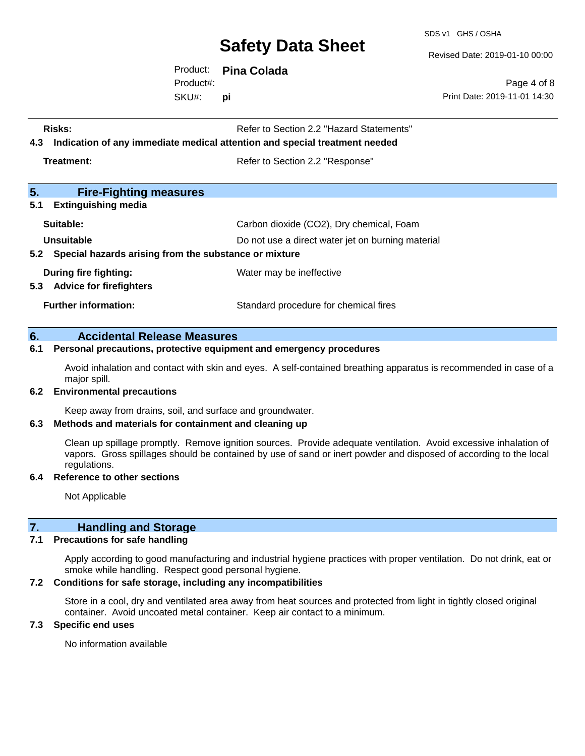SDS v1 GHS / OSHA

Revised Date: 2019-01-10 00:00

Print Date: 2019-11-01 14:30

Page 4 of 8

Product: **Pina Colada** Product#:

SKU#: **pi**

| <b>Risks:</b>                                             | Refer to Section 2.2 "Hazard Statements"                                   |
|-----------------------------------------------------------|----------------------------------------------------------------------------|
| 4.3                                                       | Indication of any immediate medical attention and special treatment needed |
| Treatment:                                                | Refer to Section 2.2 "Response"                                            |
| 5.<br><b>Fire-Fighting measures</b>                       |                                                                            |
| 5.1<br><b>Extinguishing media</b>                         |                                                                            |
| Suitable:                                                 | Carbon dioxide (CO2), Dry chemical, Foam                                   |
| Unsuitable                                                | Do not use a direct water jet on burning material                          |
| 5.2 Special hazards arising from the substance or mixture |                                                                            |
| During fire fighting:                                     | Water may be ineffective                                                   |
| 5.3 Advice for firefighters                               |                                                                            |
| <b>Further information:</b>                               | Standard procedure for chemical fires                                      |
|                                                           |                                                                            |

### **6. Accidental Release Measures**

#### **6.1 Personal precautions, protective equipment and emergency procedures**

Avoid inhalation and contact with skin and eyes. A self-contained breathing apparatus is recommended in case of a major spill.

#### **6.2 Environmental precautions**

Keep away from drains, soil, and surface and groundwater.

#### **6.3 Methods and materials for containment and cleaning up**

Clean up spillage promptly. Remove ignition sources. Provide adequate ventilation. Avoid excessive inhalation of vapors. Gross spillages should be contained by use of sand or inert powder and disposed of according to the local regulations.

#### **6.4 Reference to other sections**

Not Applicable

### **7. Handling and Storage**

#### **7.1 Precautions for safe handling**

Apply according to good manufacturing and industrial hygiene practices with proper ventilation. Do not drink, eat or smoke while handling. Respect good personal hygiene.

### **7.2 Conditions for safe storage, including any incompatibilities**

Store in a cool, dry and ventilated area away from heat sources and protected from light in tightly closed original container. Avoid uncoated metal container. Keep air contact to a minimum.

#### **7.3 Specific end uses**

No information available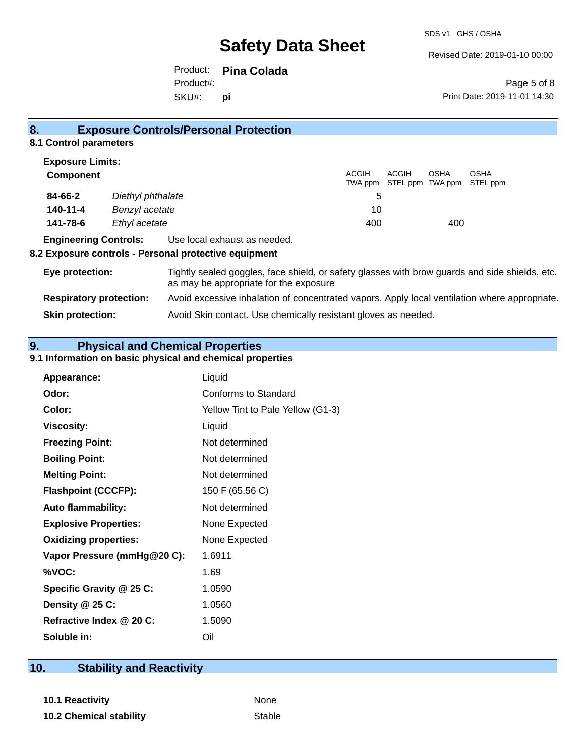Revised Date: 2019-01-10 00:00

Product: **Pina Colada** SKU#: Product#: **pi**

Page 5 of 8 Print Date: 2019-11-01 14:30

#### **8. Exposure Controls/Personal Protection 8.1 Control parameters Exposure Limits: Component** ACGIH TWA ppm ACGIH STEL ppm OSHA TWA ppm OSHA STEL ppm

|          |                   |     | TWA PPIII OTEL PPIII TWA PPIII OTEL PP |     |  |
|----------|-------------------|-----|----------------------------------------|-----|--|
| 84-66-2  | Diethyl phthalate |     |                                        |     |  |
| 140-11-4 | Benzyl acetate    | 10  |                                        |     |  |
| 141-78-6 | Ethyl acetate     | 400 |                                        | 400 |  |
|          |                   |     |                                        |     |  |

### **Engineering Controls:** Use local exhaust as needed.

### **8.2 Exposure controls - Personal protective equipment**

| Eye protection:                | Tightly sealed goggles, face shield, or safety glasses with brow guards and side shields, etc.<br>as may be appropriate for the exposure |
|--------------------------------|------------------------------------------------------------------------------------------------------------------------------------------|
| <b>Respiratory protection:</b> | Avoid excessive inhalation of concentrated vapors. Apply local ventilation where appropriate.                                            |
| <b>Skin protection:</b>        | Avoid Skin contact. Use chemically resistant gloves as needed.                                                                           |

### **9. Physical and Chemical Properties**

### **9.1 Information on basic physical and chemical properties**

| Appearance:                  | Liquid                            |
|------------------------------|-----------------------------------|
| Odor:                        | Conforms to Standard              |
| Color:                       | Yellow Tint to Pale Yellow (G1-3) |
| <b>Viscosity:</b>            | Liquid                            |
| <b>Freezing Point:</b>       | Not determined                    |
| <b>Boiling Point:</b>        | Not determined                    |
| <b>Melting Point:</b>        | Not determined                    |
| <b>Flashpoint (CCCFP):</b>   | 150 F (65.56 C)                   |
| <b>Auto flammability:</b>    | Not determined                    |
| <b>Explosive Properties:</b> | None Expected                     |
| <b>Oxidizing properties:</b> | None Expected                     |
| Vapor Pressure (mmHg@20 C):  | 1.6911                            |
| %VOC:                        | 1.69                              |
| Specific Gravity @ 25 C:     | 1.0590                            |
| Density @ 25 C:              | 1.0560                            |
| Refractive Index @ 20 C:     | 1.5090                            |
| Soluble in:                  | Oil                               |

## **10. Stability and Reactivity**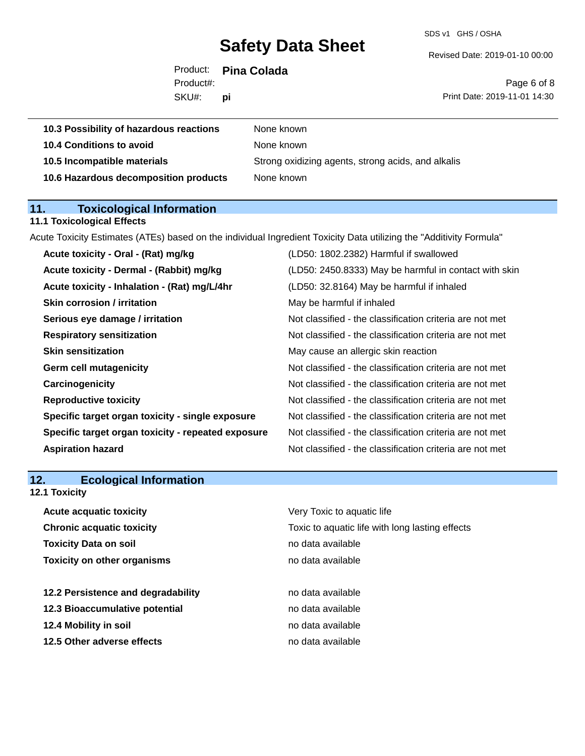SDS v1 GHS / OSHA

Revised Date: 2019-01-10 00:00

| SKU#:     | Юİ                   | Print Date: 2019-11-01 14:30 |
|-----------|----------------------|------------------------------|
| Product#: |                      | Page 6 of 8                  |
|           | Product: Pina Colada |                              |

| 10.3 Possibility of hazardous reactions | None known                                         |
|-----------------------------------------|----------------------------------------------------|
| 10.4 Conditions to avoid                | None known                                         |
| 10.5 Incompatible materials             | Strong oxidizing agents, strong acids, and alkalis |
| 10.6 Hazardous decomposition products   | None known                                         |
|                                         |                                                    |

# **11. Toxicological Information**

### **11.1 Toxicological Effects**

Acute Toxicity Estimates (ATEs) based on the individual Ingredient Toxicity Data utilizing the "Additivity Formula"

| Acute toxicity - Oral - (Rat) mg/kg                | (LD50: 1802.2382) Harmful if swallowed                   |
|----------------------------------------------------|----------------------------------------------------------|
| Acute toxicity - Dermal - (Rabbit) mg/kg           | (LD50: 2450.8333) May be harmful in contact with skin    |
| Acute toxicity - Inhalation - (Rat) mg/L/4hr       | (LD50: 32.8164) May be harmful if inhaled                |
| <b>Skin corrosion / irritation</b>                 | May be harmful if inhaled                                |
| Serious eye damage / irritation                    | Not classified - the classification criteria are not met |
| <b>Respiratory sensitization</b>                   | Not classified - the classification criteria are not met |
| <b>Skin sensitization</b>                          | May cause an allergic skin reaction                      |
| <b>Germ cell mutagenicity</b>                      | Not classified - the classification criteria are not met |
| Carcinogenicity                                    | Not classified - the classification criteria are not met |
| <b>Reproductive toxicity</b>                       | Not classified - the classification criteria are not met |
| Specific target organ toxicity - single exposure   | Not classified - the classification criteria are not met |
| Specific target organ toxicity - repeated exposure | Not classified - the classification criteria are not met |
| <b>Aspiration hazard</b>                           | Not classified - the classification criteria are not met |
|                                                    |                                                          |

# **12. Ecological Information**

### **12.1 Toxicity**

| <b>Acute acquatic toxicity</b>     | Very Toxic to aquatic life                      |
|------------------------------------|-------------------------------------------------|
| <b>Chronic acquatic toxicity</b>   | Toxic to aquatic life with long lasting effects |
| <b>Toxicity Data on soil</b>       | no data available                               |
| <b>Toxicity on other organisms</b> | no data available                               |
|                                    |                                                 |
| 12.2 Persistence and degradability | no data available                               |
| 12.3 Bioaccumulative potential     | no data available                               |
| 12.4 Mobility in soil              | no data available                               |
| 12.5 Other adverse effects         | no data available                               |
|                                    |                                                 |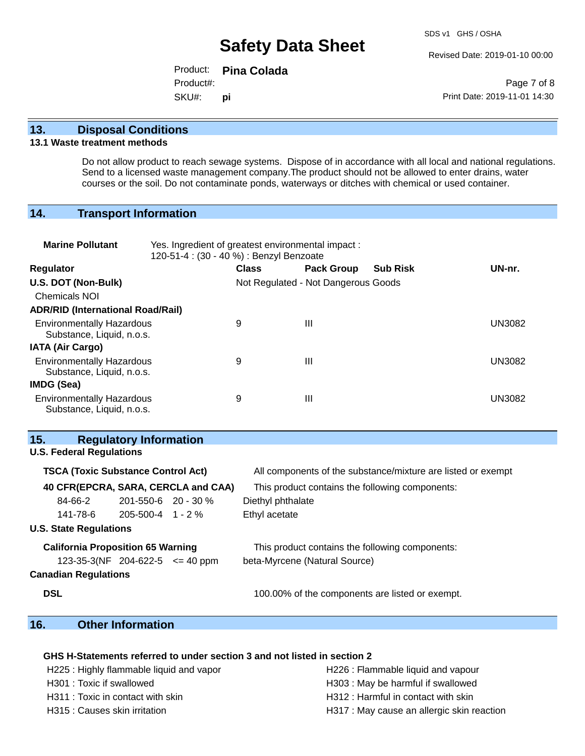Revised Date: 2019-01-10 00:00

Product: **Pina Colada** SKU#: Product#: **pi**

Page 7 of 8 Print Date: 2019-11-01 14:30

### **13. Disposal Conditions**

### **13.1 Waste treatment methods**

Do not allow product to reach sewage systems. Dispose of in accordance with all local and national regulations. Send to a licensed waste management company.The product should not be allowed to enter drains, water courses or the soil. Do not contaminate ponds, waterways or ditches with chemical or used container.

### **14. Transport Information**

| <b>Marine Pollutant</b>                                       | Yes. Ingredient of greatest environmental impact:<br>120-51-4 : (30 - 40 %) : Benzyl Benzoate |              |                                     |                 |               |
|---------------------------------------------------------------|-----------------------------------------------------------------------------------------------|--------------|-------------------------------------|-----------------|---------------|
| <b>Regulator</b>                                              |                                                                                               | <b>Class</b> | <b>Pack Group</b>                   | <b>Sub Risk</b> | UN-nr.        |
| U.S. DOT (Non-Bulk)                                           |                                                                                               |              | Not Regulated - Not Dangerous Goods |                 |               |
| <b>Chemicals NOI</b>                                          |                                                                                               |              |                                     |                 |               |
| <b>ADR/RID (International Road/Rail)</b>                      |                                                                                               |              |                                     |                 |               |
| <b>Environmentally Hazardous</b><br>Substance, Liquid, n.o.s. |                                                                                               | 9            | Ш                                   |                 | <b>UN3082</b> |
| <b>IATA (Air Cargo)</b>                                       |                                                                                               |              |                                     |                 |               |
| <b>Environmentally Hazardous</b><br>Substance, Liquid, n.o.s. |                                                                                               | 9            | Ш                                   |                 | <b>UN3082</b> |
| <b>IMDG (Sea)</b>                                             |                                                                                               |              |                                     |                 |               |
| <b>Environmentally Hazardous</b><br>Substance, Liquid, n.o.s. |                                                                                               | 9            | Ш                                   |                 | <b>UN3082</b> |

### **15. Regulatory Information**

### **U.S. Federal Regulations**

| <b>TSCA (Toxic Substance Control Act)</b> |                           | All components of the substance/mixture are listed or exempt |  |
|-------------------------------------------|---------------------------|--------------------------------------------------------------|--|
| 40 CFR(EPCRA, SARA, CERCLA and CAA)       |                           | This product contains the following components:              |  |
| 84-66-2                                   | $201 - 550 - 6$ 20 - 30 % | Diethyl phthalate                                            |  |
| 141-78-6                                  | $205 - 500 - 4$ 1 - 2 %   | Ethyl acetate                                                |  |
| <b>U.S. State Regulations</b>             |                           |                                                              |  |
| <b>California Proposition 65 Warning</b>  |                           | This product contains the following components:              |  |
| $123-35-3(NF)$ 204-622-5 $\leq$ 40 ppm    |                           | beta-Myrcene (Natural Source)                                |  |
| <b>Canadian Regulations</b>               |                           |                                                              |  |
|                                           |                           |                                                              |  |

**DSL DSL 100.00%** of the components are listed or exempt.

## **16. Other Information**

### **GHS H-Statements referred to under section 3 and not listed in section 2**

| H225 : Highly flammable liquid and vapor | H226 : Flammable liquid and vapour         |
|------------------------------------------|--------------------------------------------|
| H301 : Toxic if swallowed                | H303 : May be harmful if swallowed         |
| H311 : Toxic in contact with skin        | H312 : Harmful in contact with skin        |
| H315 : Causes skin irritation            | H317 : May cause an allergic skin reaction |